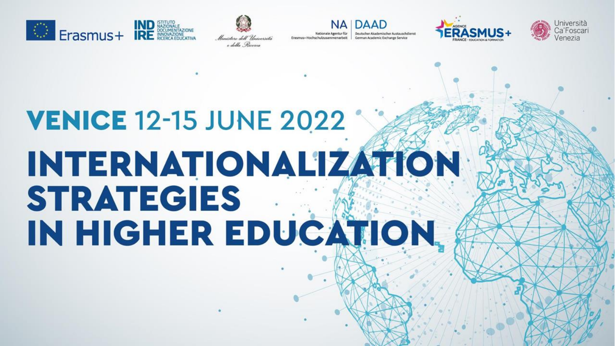





Nationale Agentur für Deutscher Akademischer Austauschdienst Erasmus+ Hochschulzusammenarbeit German Academic Exchange Service





# **VENICE 12-15 JUNE 2022 INTERNATIONALIZATION STRATEGIES** IN HIGHER EDUCATION.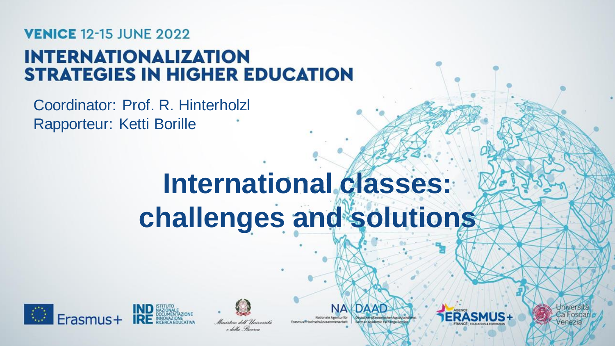## **VENICE 12-15 JUNE 2022 INTERNATIONALIZATION STRATEGIES IN HIGHER EDUCATION**

Coordinator: Prof. R. Hinterholzl Rapporteur: Ketti Borille

## **International classes: challenges and solutions**





e della Piccerca

Nationale Agentur für Erasmus#Hochschulzusammenarbeit





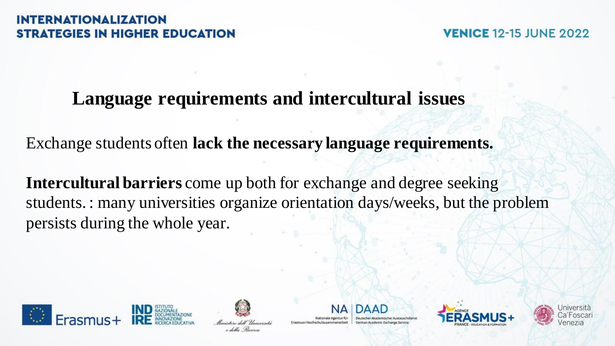**VENICE 12-15 JUNE 2022** 

## **Language requirements and intercultural issues**

Exchange students often **lack the necessary language requirements.**

**Intercultural barriers** come up both for exchange and degree seeking students. : many universities organize orientation days/weeks, but the problem persists during the whole year.





Erasmus+Hochschulzusammenarbeit

German Academic Exchange Service



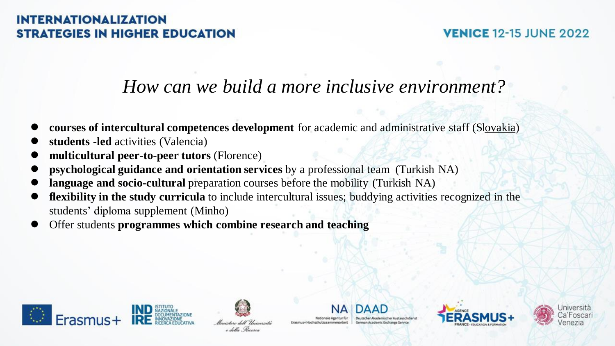#### **VENICE 12-15 JUNE 2022**

## *How can we build a more inclusive environment?*

- **courses of intercultural competences development** for academic and administrative staff (Slovakia)
- **students -led** activities (Valencia)
- **multicultural peer-to-peer tutors** (Florence)
- **psychological guidance and orientation services** by a professional team (Turkish NA)
- **language and socio-cultural** preparation courses before the mobility (Turkish NA)
- **flexibility** in the study curricula to include intercultural issues; buddying activities recognized in the students' diploma supplement (Minho)
- Offer students **programmes which combine research and teaching**





Erasmus+Hochschulzusammenarbeit



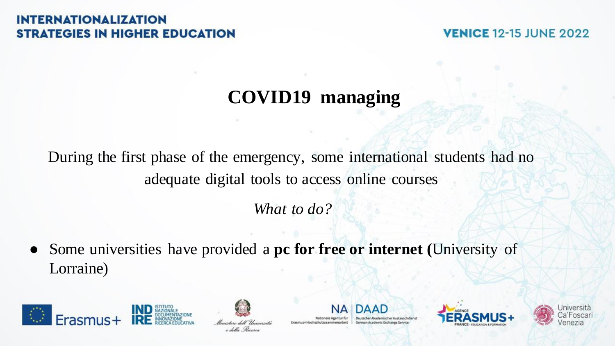**VENICE 12-15 JUNE 2022** 

## **COVID19 managing**

During the first phase of the emergency, some international students had no adequate digital tools to access online courses

*What to do?*

Some universities have provided a **pc for free or internet** (University of Lorraine)





e della Piccerci

Nationale Agentur fü Erasmus+Hochschulzusammenarbeit

DAAN German Arademic Exchange Service



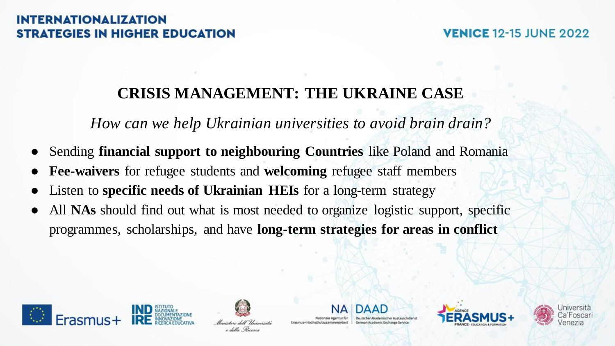#### **VENICE 12-15 JUNE 2022**

## **CRISIS MANAGEMENT: THE UKRAINE CASE**

*How can we help Ukrainian universities to avoid brain drain?*

- Sending **financial support to neighbouring Countries** like Poland and Romania
- **Fee-waivers** for refugee students and **welcoming** refugee staff members
- Listen to **specific needs of Ukrainian HEIs** for a long-term strategy
- All **NAs** should find out what is most needed to organize logistic support, specific programmes, scholarships, and have **long-term strategies for areas in conflict**





Erasmus+Hochschulzusammenarbeit



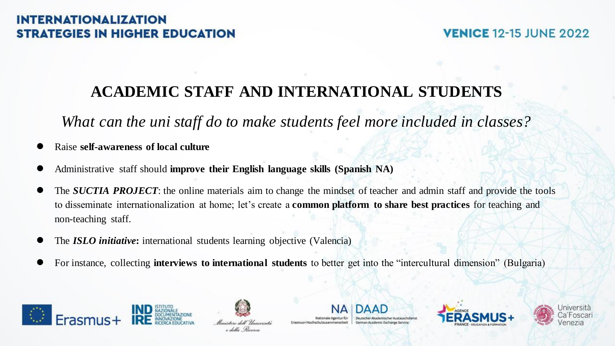#### **VENICE 12-15 JUNE 2022**

## **ACADEMIC STAFF AND INTERNATIONAL STUDENTS**

*What can the uni staff do to make students feel more included in classes?*

- Raise **self-awareness of local culture**
- Administrative staff should **improve their English language skills (Spanish NA)**
- The *SUCTIA PROJECT*: the online materials aim to change the mindset of teacher and admin staff and provide the tools to disseminate internationalization at home; let's create a **common platform to share best practices** for teaching and non-teaching staff.
- The **ISLO initiative**: international students learning objective (Valencia)
- For instance, collecting **interviews to international students** to better get into the "intercultural dimension" (Bulgaria)





Nationale Agentur fü Erasmus+Hochschulzusammenarbeit